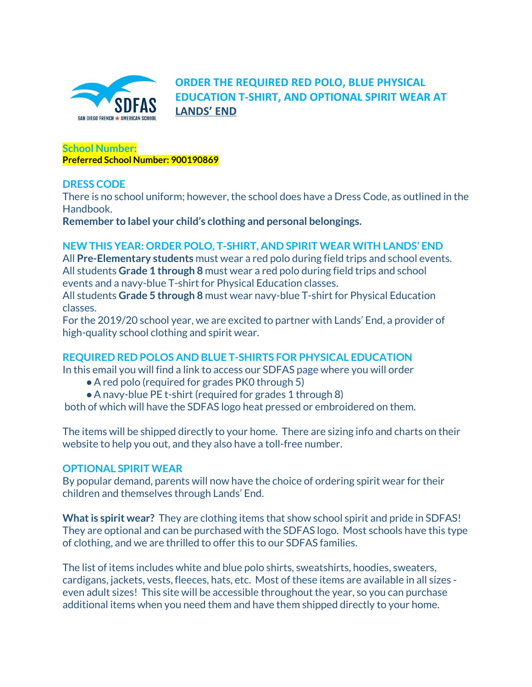

**ORDER THE REQUIRED RED POLO, BLUE PHYSICAL EDUCATION T-SHIRT, AND OPTIONAL SPIRIT WEAR AT [LANDS'](https://www.landsend.com/pp/SchoolSearch.html?action=landing&selectedSchoolNum=900190869) END**

**School Number: Preferred School Number: 900190869**

# **DRESS CODE**

There is no school uniform; however, the school does have a Dress Code, as outlined in the Handbook.

**Remember to label your child's clothing and personal belongings.**

# **NEW THIS YEAR: ORDER POLO, T-SHIRT, AND SPIRIT WEAR WITH LANDS' END**

All **Pre-Elementary students** must wear a red polo during field trips and school events. All students **Grade 1 through 8** must wear a red polo during field trips and school events and a navy-blue T-shirt for Physical Education classes.

All students **Grade 5 through 8** must wear navy-blue T-shirt for Physical Education classes.

For the 2019/20 school year, we are excited to partner with Lands' End, a provider of high-quality school clothing and spirit wear.

# **REQUIRED RED POLOS AND BLUE T-SHIRTS FOR PHYSICAL EDUCATION**

In this email you will find a link to access our SDFAS page where you will order

- A red polo (required for grades PK0 through 5)
- ●A navy-blue PE t-shirt (required for grades 1 through 8)

both of which will have the SDFAS logo heat pressed or embroidered on them.

The items will be shipped directly to your home. There are sizing info and charts on their website to help you out, and they also have a toll-free number.

### **OPTIONAL SPIRIT WEAR**

By popular demand, parents will now have the choice of ordering spirit wear for their children and themselves through Lands' End.

**What is spirit wear?** They are clothing items that show school spirit and pride in SDFAS! They are optional and can be purchased with the SDFAS logo. Most schools have this type of clothing, and we are thrilled to offer this to our SDFAS families.

The list of items includes white and blue polo shirts, sweatshirts, hoodies, sweaters, cardigans, jackets, vests, fleeces, hats, etc. Most of these items are available in all sizes even adult sizes! This site will be accessible throughout the year, so you can purchase additional items when you need them and have them shipped directly to your home.